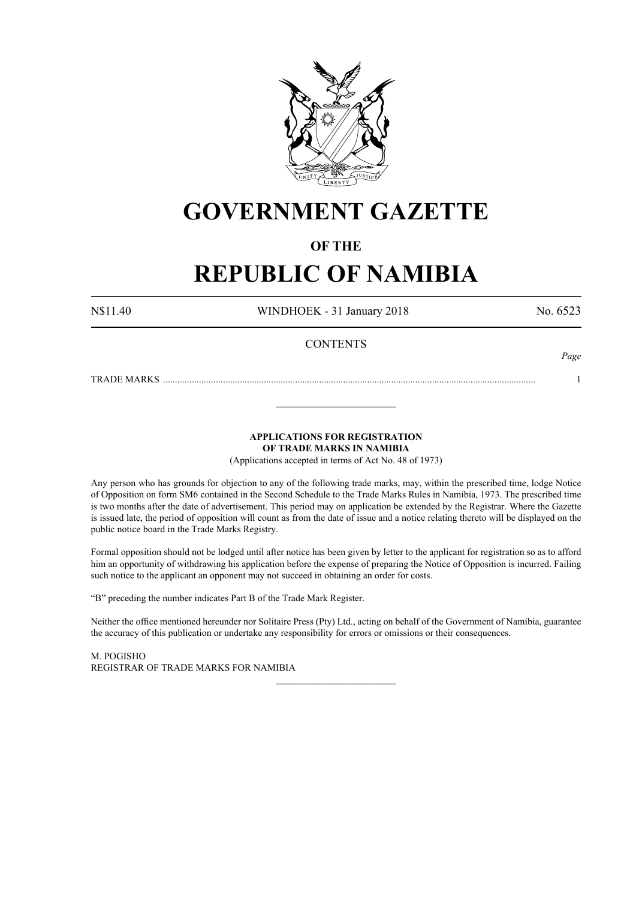

# **GOVERNMENT GAZETTE**

# **OF THE**

# **REPUBLIC OF NAMIBIA**

N\$11.40 WINDHOEK - 31 January 2018 No. 6523

*Page*

# **CONTENTS**

TRADE MARKS ........................................................................................................................................................... 1

**APPLICATIONS FOR REGISTRATION**

**OF TRADE MARKS IN NAMIBIA**

\_\_\_\_\_\_\_\_\_\_\_\_\_\_\_\_\_\_\_\_\_\_\_\_\_

(Applications accepted in terms of Act No. 48 of 1973)

Any person who has grounds for objection to any of the following trade marks, may, within the prescribed time, lodge Notice of Opposition on form SM6 contained in the Second Schedule to the Trade Marks Rules in Namibia, 1973. The prescribed time is two months after the date of advertisement. This period may on application be extended by the Registrar. Where the Gazette is issued late, the period of opposition will count as from the date of issue and a notice relating thereto will be displayed on the public notice board in the Trade Marks Registry.

Formal opposition should not be lodged until after notice has been given by letter to the applicant for registration so as to afford him an opportunity of withdrawing his application before the expense of preparing the Notice of Opposition is incurred. Failing such notice to the applicant an opponent may not succeed in obtaining an order for costs.

"B" preceding the number indicates Part B of the Trade Mark Register.

Neither the office mentioned hereunder nor Solitaire Press (Pty) Ltd., acting on behalf of the Government of Namibia, guarantee the accuracy of this publication or undertake any responsibility for errors or omissions or their consequences.

\_\_\_\_\_\_\_\_\_\_\_\_\_\_\_\_\_\_\_\_\_\_\_\_\_

M. PogIsho REGISTRAR OF TRADE MARKS FOR NAMIBIA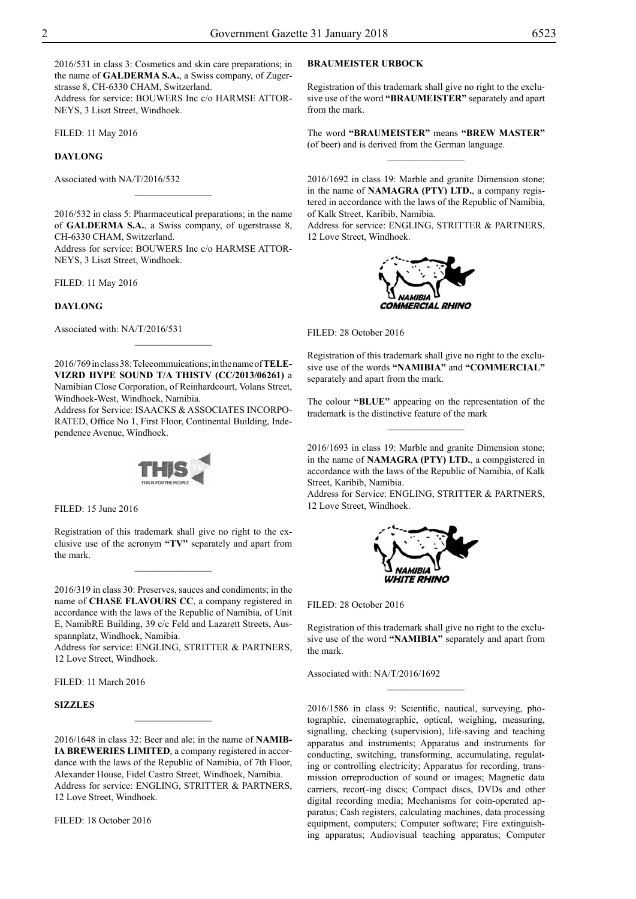2016/531 in class 3: Cosmetics and skin care preparations; in the name of **GALDERMA S.A.**, a Swiss company, of Zugerstrasse 8, CH-6330 CHAM, Switzerland. Address for service: BOUWERS Inc c/o HARMSE ATTOR-NEYS, 3 Liszt Street, Windhoek.

Filed: 11 May 2016

### **DAYLONG**

Associated with NA/T/2016/532

2016/532 in class 5: Pharmaceutical preparations; in the name of **GALDERMA S.A.**, a Swiss company, of ugerstrasse 8, CH-6330 CHAM, Switzerland.

 $\frac{1}{2}$ 

Address for service: BOUWERS Inc c/o HARMSE ATTOR-NEYS, 3 Liszt Street, Windhoek.

Filed: 11 May 2016

#### **DAYLONG**

Associated with: NA/T/2016/531

2016/769 in class 38: Telecommuications; in the name of **TELE-VIZRD HYPE SOUND T/A THISTV (CC/2013/06261)** a Namibian Close Corporation, of Reinhardcourt, Volans Street, Windhoek-West, Windhoek, Namibia.

 $\overline{\phantom{a}}$  , where  $\overline{\phantom{a}}$ 

Address for Service: ISAACKS & ASSOCIATES INCORPO-RATED, Office No 1, First Floor, Continental Building, Independence Avenue, Windhoek.



Filed: 15 June 2016

Registration of this trademark shall give no right to the exclusive use of the acronym **"TV"** separately and apart from the mark.

 $\overline{\phantom{a}}$  , where  $\overline{\phantom{a}}$ 

2016/319 in class 30: Preserves, sauces and condiments; in the name of **CHASE FLAVOURS CC**, a company registered in accordance with the laws of the Republic of Namibia, of Unit E, NamibRE Building, 39 c/c Feld and Lazarett Streets, Ausspannplatz, Windhoek, Namibia.

Address for service: ENGLING, STRITTER & PARTNERS, 12 Love Street, Windhoek.

Filed: 11 March 2016

# **SIZZLES**

2016/1648 in class 32: Beer and ale; in the name of **NAMIB-IA BREWERIES LIMITED**, a company registered in accordance with the laws of the Republic of Namibia, of 7th Floor, Alexander House, Fidel Castro Street, Windhoek, Namibia. Address for service: ENGLING, STRITTER & PARTNERS, 12 Love Street, Windhoek.

 $\frac{1}{2}$ 

FILED: 18 October 2016

# **BRAUMEISTER URBOCK**

Registration of this trademark shall give no right to the exclusive use of the word **"BRAUMEISTER"** separately and apart from the mark.

The word **"BRAUMEISTER"** means **"BREW MASTER"**  (of beer) and is derived from the German language.  $\frac{1}{2}$ 

2016/1692 in class 19: Marble and granite Dimension stone; in the name of **NAMAGRA (PTY) LTD.**, a company registered in accordance with the laws of the Republic of Namibia, of Kalk Street, Karibib, Namibia.

Address for service: ENGLING, STRITTER & PARTNERS, 12 Love Street, Windhoek.



FILED: 28 October 2016

Registration of this trademark shall give no right to the exclusive use of the words **"NAMIBIA"** and **"COMMERCIAL"**  separately and apart from the mark.

The colour **"BLUE"** appearing on the representation of the trademark is the distinctive feature of the mark  $\frac{1}{2}$ 

2016/1693 in class 19: Marble and granite Dimension stone; in the name of **NAMAGRA (PTY) LTD.**, a compgistered in accordance with the laws of the Republic of Namibia, of Kalk Street, Karibib, Namibia.

Address for Service: ENGLING, STRITTER & PARTNERS, 12 Love Street, Windhoek.



FILED: 28 October 2016

Registration of this trademark shall give no right to the exclusive use of the word **"NAMIBIA"** separately and apart from the mark.

 $\frac{1}{2}$ 

Associated with: NA/T/2016/1692

2016/1586 in class 9: Scientific, nautical, surveying, photographic, cinematographic, optical, weighing, measuring, signalling, checking (supervision), life-saving and teaching apparatus and instruments; Apparatus and instruments for conducting, switching, transforming, accumulating, regulating or controlling electricity; Apparatus for recording, transmission orreproduction of sound or images; Magnetic data carriers, recor(-ing discs; Compact discs, DVDs and other digital recording media; Mechanisms for coin-operated apparatus; Cash registers, calculating machines, data processing equipment, computers; Computer software; Fire extinguishing apparatus; Audiovisual teaching apparatus; Computer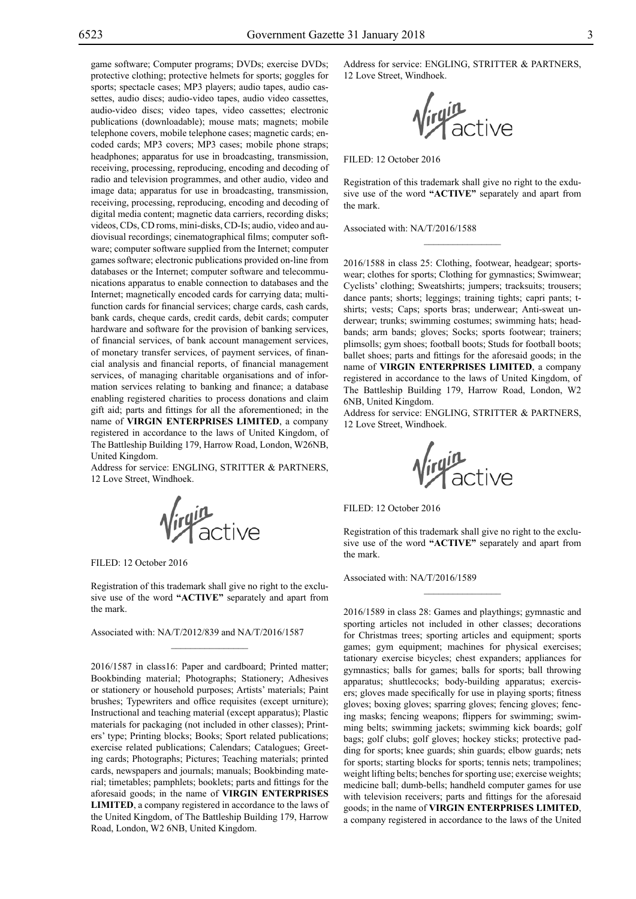game software; Computer programs; DVDs; exercise DVDs; protective clothing; protective helmets for sports; goggles for sports; spectacle cases; MP3 players; audio tapes, audio cassettes, audio discs; audio-video tapes, audio video cassettes, audio-video discs; video tapes, video cassettes; electronic publications (downloadable); mouse mats; magnets; mobile telephone covers, mobile telephone cases; magnetic cards; encoded cards; MP3 covers; MP3 cases; mobile phone straps; headphones; apparatus for use in broadcasting, transmission, receiving, processing, reproducing, encoding and decoding of radio and television programmes, and other audio, video and image data; apparatus for use in broadcasting, transmission, receiving, processing, reproducing, encoding and decoding of digital media content; magnetic data carriers, recording disks; videos, CDs, CD roms, mini-disks, CD-Is; audio, video and audiovisual recordings; cinematographical films; computer software; computer software supplied from the Internet; computer games software; electronic publications provided on-line from databases or the Internet; computer software and telecommunications apparatus to enable connection to databases and the Internet; magnetically encoded cards for carrying data; multifunction cards for financial services; charge cards, cash cards, bank cards, cheque cards, credit cards, debit cards; computer hardware and software for the provision of banking services, of financial services, of bank account management services, of monetary transfer services, of payment services, of financial analysis and financial reports, of financial management services, of managing charitable organisations and of information services relating to banking and finance; a database enabling registered charities to process donations and claim gift aid; parts and fittings for all the aforementioned; in the name of **VIRGIN ENTERPRISES LIMITED**, a company registered in accordance to the laws of United Kingdom, of The Battleship Building 179, Harrow Road, London, W26NB, United Kingdom.

Address for service: ENGLING, STRITTER & PARTNERS, 12 Love Street, Windhoek.

Virgin<br>Virgin

Filed: 12 October 2016

Registration of this trademark shall give no right to the exclusive use of the word **"ACTIVE"** separately and apart from the mark.

 $\mathcal{L}=\mathcal{L}^{\mathcal{L}}$ 

Associated with: NA/T/2012/839 and NA/T/2016/1587

2016/1587 in class16: Paper and cardboard; Printed matter; Bookbinding material; Photographs; Stationery; Adhesives or stationery or household purposes; Artists' materials; Paint brushes; Typewriters and office requisites (except urniture); Instructional and teaching material (except apparatus); Plastic materials for packaging (not included in other classes); Printers' type; Printing blocks; Books; Sport related publications; exercise related publications; Calendars; Catalogues; Greeting cards; Photographs; Pictures; Teaching materials; printed cards, newspapers and journals; manuals; Bookbinding material; timetables; pamphlets; booklets; parts and fittings for the aforesaid goods; in the name of **VIRGIN ENTERPRISES LIMITED**, a company registered in accordance to the laws of the United Kingdom, of The Battleship Building 179, Harrow Road, London, W2 6NB, United Kingdom.

Address for service: ENGLING, STRITTER & PARTNERS, 12 Love Street, Windhoek.

**Virgin**<br>Virginactive

Filed: 12 October 2016

Registration of this trademark shall give no right to the exdusive use of the word **"ACTIVE"** separately and apart from the mark.

 $\frac{1}{2}$ 

Associated with: NA/T/2016/1588

2016/1588 in class 25: Clothing, footwear, headgear; sportswear; clothes for sports; Clothing for gymnastics; Swimwear; Cyclists' clothing; Sweatshirts; jumpers; tracksuits; trousers; dance pants; shorts; leggings; training tights; capri pants; tshirts; vests; Caps; sports bras; underwear; Anti-sweat underwear; trunks; swimming costumes; swimming hats; headbands; arm bands; gloves; Socks; sports footwear; trainers; plimsolls; gym shoes; football boots; Studs for football boots; ballet shoes; parts and fittings for the aforesaid goods; in the name of **VIRGIN ENTERPRISES LIMITED**, a company registered in accordance to the laws of United Kingdom, of The Battleship Building 179, Harrow Road, London, W2 6NB, United Kingdom.

Address for service: ENGLING, STRITTER & PARTNERS, 12 Love Street, Windhoek.

ruin<br>Tactive

FILED: 12 October 2016

Registration of this trademark shall give no right to the exclusive use of the word **"ACTIVE"** separately and apart from the mark.

 $\frac{1}{2}$ 

Associated with: NA/T/2016/1589

2016/1589 in class 28: Games and playthings; gymnastic and sporting articles not included in other classes; decorations for Christmas trees; sporting articles and equipment; sports games; gym equipment; machines for physical exercises; tationary exercise bicycles; chest expanders; appliances for gymnastics; balls for games; balls for sports; ball throwing apparatus; shuttlecocks; body-building apparatus; exercisers; gloves made specifically for use in playing sports; fitness gloves; boxing gloves; sparring gloves; fencing gloves; fencing masks; fencing weapons; flippers for swimming; swimming belts; swimming jackets; swimming kick boards; golf bags; golf clubs; golf gloves; hockey sticks; protective padding for sports; knee guards; shin guards; elbow guards; nets for sports; starting blocks for sports; tennis nets; trampolines; weight lifting belts; benches for sporting use; exercise weights; medicine ball; dumb-bells; handheld computer games for use with television receivers; parts and fittings for the aforesaid goods; in the name of **VIRGIN ENTERPRISES LIMITED**, a company registered in accordance to the laws of the United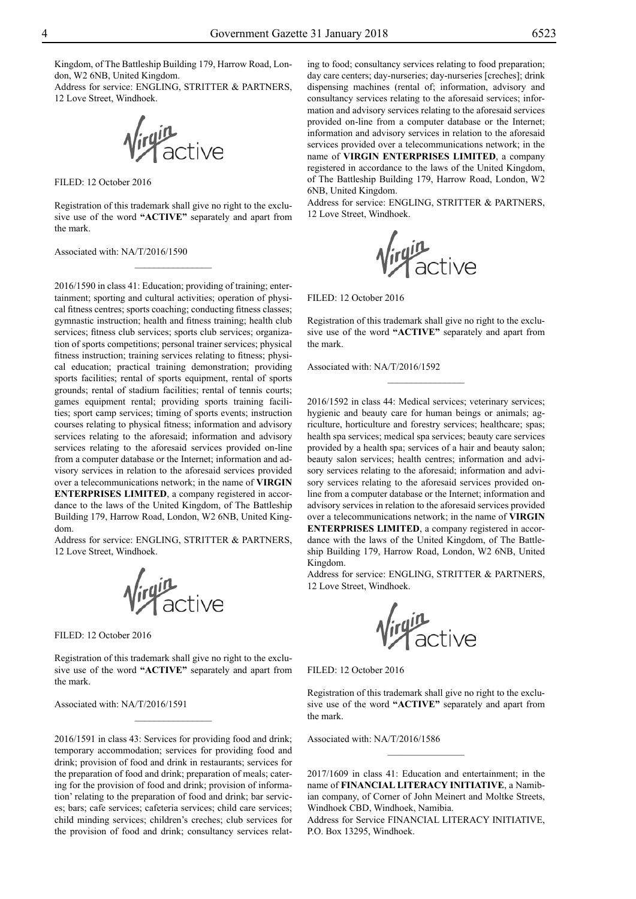Kingdom, of The Battleship Building 179, Harrow Road, London, W2 6NB, United Kingdom.

Address for service: ENGLING, STRITTER & PARTNERS, 12 Love Street, Windhoek.

*lirgin*<br>Virginactive

FILED: 12 October 2016

Registration of this trademark shall give no right to the exclusive use of the word **"ACTIVE"** separately and apart from the mark.

 $\overline{\phantom{a}}$  , where  $\overline{\phantom{a}}$ 

Associated with: NA/T/2016/1590

2016/1590 in class 41: Education; providing of training; entertainment; sporting and cultural activities; operation of physical fitness centres; sports coaching; conducting fitness classes; gymnastic instruction; health and fitness training; health club services; fitness club services; sports club services; organization of sports competitions; personal trainer services; physical fitness instruction; training services relating to fitness; physical education; practical training demonstration; providing sports facilities; rental of sports equipment, rental of sports grounds; rental of stadium facilities; rental of tennis courts; games equipment rental; providing sports training facilities; sport camp services; timing of sports events; instruction courses relating to physical fitness; information and advisory services relating to the aforesaid; information and advisory services relating to the aforesaid services provided on-line from a computer database or the Internet; information and advisory services in relation to the aforesaid services provided over a telecommunications network; in the name of **VIRGIN ENTERPRISES LIMITED**, a company registered in accordance to the laws of the United Kingdom, of The Battleship Building 179, Harrow Road, London, W2 6NB, United Kingdom.

Address for service: ENGLING, STRITTER & PARTNERS, 12 Love Street, Windhoek.

**Virgin**<br>**Virgin** 

Filed: 12 October 2016

Registration of this trademark shall give no right to the exclusive use of the word **"ACTIVE"** separately and apart from the mark.

 $\frac{1}{2}$ 

Associated with: NA/T/2016/1591

2016/1591 in class 43: Services for providing food and drink; temporary accommodation; services for providing food and drink; provision of food and drink in restaurants; services for the preparation of food and drink; preparation of meals; catering for the provision of food and drink; provision of information' relating to the preparation of food and drink; bar services; bars; cafe services; cafeteria services; child care services; child minding services; children's creches; club services for the provision of food and drink; consultancy services relating to food; consultancy services relating to food preparation; day care centers; day-nurseries; day-nurseries [creches]; drink dispensing machines (rental of; information, advisory and consultancy services relating to the aforesaid services; information and advisory services relating to the aforesaid services provided on-line from a computer database or the Internet; information and advisory services in relation to the aforesaid services provided over a telecommunications network; in the name of **VIRGIN ENTERPRISES LIMITED**, a company registered in accordance to the laws of the United Kingdom, of The Battleship Building 179, Harrow Road, London, W2 6NB, United Kingdom.

Address for service: ENGLING, STRITTER & PARTNERS, 12 Love Street, Windhoek.



FILED: 12 October 2016

Registration of this trademark shall give no right to the exclusive use of the word **"ACTIVE"** separately and apart from the mark.

 $\frac{1}{2}$ 

Associated with: NA/T/2016/1592

2016/1592 in class 44: Medical services; veterinary services; hygienic and beauty care for human beings or animals; agriculture, horticulture and forestry services; healthcare; spas; health spa services; medical spa services; beauty care services provided by a health spa; services of a hair and beauty salon; beauty salon services; health centres; information and advisory services relating to the aforesaid; information and advisory services relating to the aforesaid services provided online from a computer database or the Internet; information and advisory services in relation to the aforesaid services provided over a telecommunications network; in the name of **VIRGIN ENTERPRISES LIMITED**, a company registered in accordance with the laws of the United Kingdom, of The Battleship Building 179, Harrow Road, London, W2 6NB, United Kingdom.

Address for service: ENGLING, STRITTER & PARTNERS, 12 Love Street, Windhoek.



FILED: 12 October 2016

Registration of this trademark shall give no right to the exclusive use of the word **"ACTIVE"** separately and apart from the mark.

Associated with: NA/T/2016/1586

2017/1609 in class 41: Education and entertainment; in the name of **FINANCIAL LITERACY INITIATIVE**, a Namibian company, of Corner of John Meinert and Moltke Streets, Windhoek CBD, Windhoek, Namibia.

Address for Service FINANCIAL LITERACY INITIATIVE, P.O. Box 13295, Windhoek.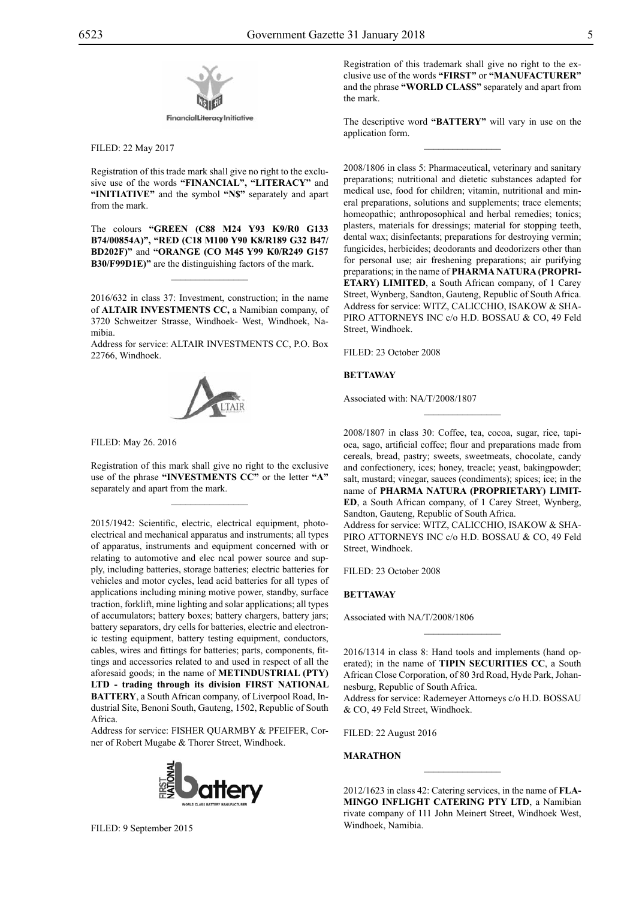

Filed: 22 May 2017

Registration of this trade mark shall give no right to the exclusive use of the words **"FINANCIAL", "LITERACY"** and **"INITIATIVE"** and the symbol **"N\$"** separately and apart from the mark.

The colours **"green (C88 M24 Y93 K9/R0 G133 B74/00854a)", "red (C18 M100 Y90 K8/R189 G32 B47/ bd202f)"** and **"Orange (CO M45 Y99 K0/R249 G157 B30/f99d1e)"** are the distinguishing factors of the mark.

 $\overline{\phantom{a}}$  , where  $\overline{\phantom{a}}$ 

2016/632 in class 37: Investment, construction; in the name of **ALTAIR INVESTMENTS CC,** a Namibian company, of 3720 Schweitzer Strasse, Windhoek- West, Windhoek, Namibia.

Address for service: ALTAIR INVESTMENTS CC, P.O. Box 22766, Windhoek.



Filed: May 26. 2016

Registration of this mark shall give no right to the exclusive use of the phrase **"INVESTMENTS CC"** or the letter **"A"**  separately and apart from the mark.

 $\mathcal{L}=\mathcal{L}^{\mathcal{L}}$ 

2015/1942: Scientific, electric, electrical equipment, photoelectrical and mechanical apparatus and instruments; all types of apparatus, instruments and equipment concerned with or relating to automotive and elec ncal power source and supply, including batteries, storage batteries; electric batteries for vehicles and motor cycles, lead acid batteries for all types of applications including mining motive power, standby, surface traction, forklift, mine lighting and solar applications; all types of accumulators; battery boxes; battery chargers, battery jars; battery separators, dry cells for batteries, electric and electronic testing equipment, battery testing equipment, conductors, cables, wires and fittings for batteries; parts, components, fittings and accessories related to and used in respect of all the aforesaid goods; in the name of **METINDUSTRIAL (PTY) LTD - trading through its division FIRST NATIONAL BATTERY**, a South African company, of Liverpool Road, Industrial Site, Benoni South, Gauteng, 1502, Republic of South Africa.

Address for service: FISHER QUARMBY & PFEIFER, Corner of Robert Mugabe & Thorer Street, Windhoek.



FILED: 9 September 2015

Registration of this trademark shall give no right to the exclusive use of the words **"FIRST"** or **"MANUFACTURER"**  and the phrase **"WORLD CLASS"** separately and apart from the mark.

The descriptive word **"BATTERY"** will vary in use on the application form.  $\frac{1}{2}$ 

2008/1806 in class 5: Pharmaceutical, veterinary and sanitary preparations; nutritional and dietetic substances adapted for medical use, food for children; vitamin, nutritional and mineral preparations, solutions and supplements; trace elements; homeopathic; anthroposophical and herbal remedies; tonics; plasters, materials for dressings; material for stopping teeth, dental wax; disinfectants; preparations for destroying vermin; fungicides, herbicides; deodorants and deodorizers other than for personal use; air freshening preparations; air purifying preparations; in the name of **PHARMA NATURA (PROPRI-ETARY) LIMITED**, a South African company, of 1 Carey Street, Wynberg, Sandton, Gauteng, Republic of South Africa. Address for service: WITZ, CALICCHIO, ISAKOW & SHA-PIRO ATTORNEYS INC c/o H.D. BOSSAU & CO, 49 Feld Street, Windhoek.

FILED: 23 October 2008

# **BETTAWAY**

Associated with: NA/T/2008/1807

2008/1807 in class 30: Coffee, tea, cocoa, sugar, rice, tapioca, sago, artificial coffee; flour and preparations made from cereals, bread, pastry; sweets, sweetmeats, chocolate, candy and confectionery, ices; honey, treacle; yeast, bakingpowder; salt, mustard; vinegar, sauces (condiments); spices; ice; in the name of **PHARMA NATURA (PROPRIETARY) LIMIT-ED**, a South African company, of 1 Carey Street, Wynberg, Sandton, Gauteng, Republic of South Africa.

 $\overline{\phantom{a}}$  , where  $\overline{\phantom{a}}$ 

Address for service: WITZ, CALICCHIO, ISAKOW & SHApiro Attorneys Inc c/o H.D. Bossau & Co, 49 Feld Street, Windhoek.

FILED: 23 October 2008

### **BETTAWAY**

Associated with NA/T/2008/1806

2016/1314 in class 8: Hand tools and implements (hand operated); in the name of **TIPIN SECURITIES CC**, a South African Close Corporation, of 80 3rd Road, Hyde Park, Johannesburg, Republic of South Africa.

 $\frac{1}{2}$ 

Address for service: Rademeyer Attorneys c/o H.D. BOSSAU & Co, 49 Feld Street, Windhoek.

Filed: 22 August 2016

### **MARATHON**

2012/1623 in class 42: Catering services, in the name of **FLA-MINGO INFLIGHT CATERING PTY LTD**, a Namibian rivate company of 111 John Meinert Street, Windhoek West, Windhoek, Namibia.

 $\overline{\phantom{a}}$  , where  $\overline{\phantom{a}}$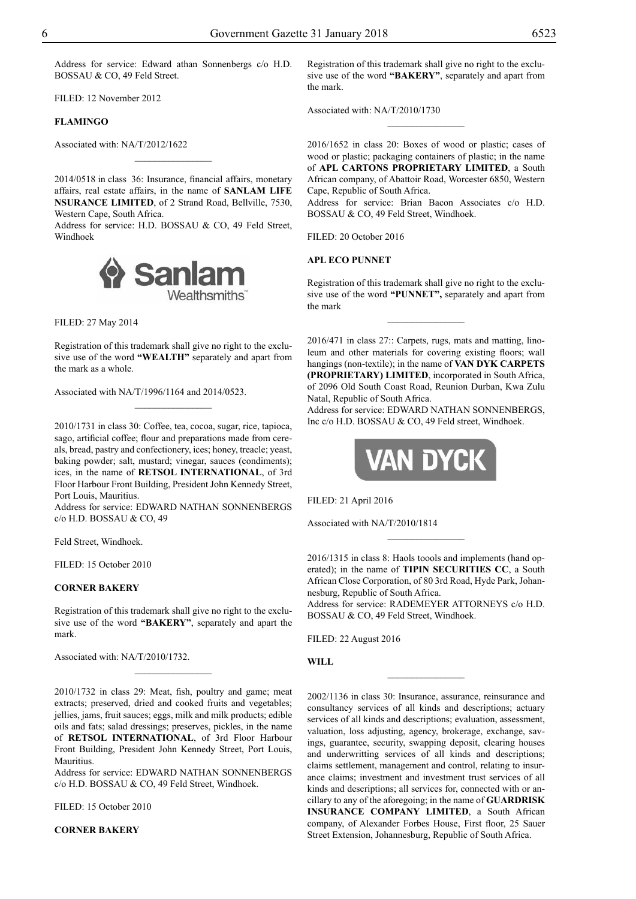Address for service: Edward athan Sonnenbergs c/o H.D. BOSSAU & CO, 49 Feld Street.

Filed: 12 November 2012

# **FLAMINGO**

Associated with: NA/T/2012/1622

2014/0518 in class 36: Insurance, financial affairs, monetary affairs, real estate affairs, in the name of **SANLAM LIFE NSURANCE LIMITED**, of 2 Strand Road, Bellville, 7530, Western Cape, South Africa.

 $\overline{\phantom{a}}$  , where  $\overline{\phantom{a}}$ 

Address for service: H.D. BOSSAU & CO, 49 Feld Street, Windhoek



Filed: 27 May 2014

Registration of this trademark shall give no right to the exclusive use of the word **"WEALTH"** separately and apart from the mark as a whole.

 $\frac{1}{2}$ 

Associated with NA/T/1996/1164 and 2014/0523.

2010/1731 in class 30: Coffee, tea, cocoa, sugar, rice, tapioca, sago, artificial coffee; flour and preparations made from cereals, bread, pastry and confectionery, ices; honey, treacle; yeast, baking powder; salt, mustard; vinegar, sauces (condiments); ices, in the name of **RETSOL INTERNATIONAL**, of 3rd Floor Harbour Front Building, President John Kennedy Street, Port Louis, Mauritius.

Address for service: EDWARD NATHAN SONNENBERGS c/o H.D. Bossau & Co, 49

Feld Street, Windhoek.

FILED: 15 October 2010

#### **CORNER BAKERY**

Registration of this trademark shall give no right to the exclusive use of the word **"BAKERY"**, separately and apart the mark.

 $\frac{1}{2}$ 

Associated with: NA/T/2010/1732.

2010/1732 in class 29: Meat, fish, poultry and game; meat extracts; preserved, dried and cooked fruits and vegetables; jellies, jams, fruit sauces; eggs, milk and milk products; edible oils and fats; salad dressings; preserves, pickles, in the name of **RETSOL INTERNATIONAL**, of 3rd Floor Harbour Front Building, President John Kennedy Street, Port Louis, **Mauritius** 

Address for service: EDWARD NATHAN SONNENBERGS  $c$ /o H.D. BOSSAU  $\&$  CO, 49 Feld Street, Windhoek.

Filed: 15 October 2010

**CORNER BAKERY**

Registration of this trademark shall give no right to the exclusive use of the word **"BAKERY"**, separately and apart from the mark.

Associated with: NA/T/2010/1730

2016/1652 in class 20: Boxes of wood or plastic; cases of wood or plastic; packaging containers of plastic; in the name of **APL CARTONS PROPRIETARY LIMITED**, a South African company, of Abattoir Road, Worcester 6850, Western Cape, Republic of South Africa.

 $\frac{1}{2}$ 

Address for service: Brian Bacon Associates c/o H.D. BOSSAU & CO, 49 Feld Street, Windhoek.

FILED: 20 October 2016

#### **APL ECO PUNNET**

Registration of this trademark shall give no right to the exclusive use of the word **"PUNNET",** separately and apart from the mark

 $\frac{1}{2}$ 

2016/471 in class 27:: Carpets, rugs, mats and matting, linoleum and other materials for covering existing floors; wall hangings (non-textile); in the name of **VAN DYK CARPETS (PROPRIETARY) LIMITED**, incorporated in South Africa, of 2096 Old South Coast Road, Reunion Durban, Kwa Zulu Natal, Republic of South Africa.

Address for service: EDWARD NATHAN SONNENBERGS, Inc c/o H.D. BOSSAU & CO, 49 Feld street, Windhoek.



Filed: 21 April 2016

Associated with NA/T/2010/1814

2016/1315 in class 8: Haols toools and implements (hand operated); in the name of **TIPIN SECURITIES CC**, a South African Close Corporation, of 80 3rd Road, Hyde Park, Johannesburg, Republic of South Africa.

 $\frac{1}{2}$ 

Address for service: RADEMEYER ATTORNEYS c/o H.D. BOSSAU & CO, 49 Feld Street, Windhoek.

 $\overline{\phantom{a}}$  , where  $\overline{\phantom{a}}$ 

Filed: 22 August 2016

## **WILL**

2002/1136 in class 30: Insurance, assurance, reinsurance and consultancy services of all kinds and descriptions; actuary services of all kinds and descriptions; evaluation, assessment, valuation, loss adjusting, agency, brokerage, exchange, savings, guarantee, security, swapping deposit, clearing houses and underwritting services of all kinds and descriptions; claims settlement, management and control, relating to insurance claims; investment and investment trust services of all kinds and descriptions; all services for, connected with or ancillary to any of the aforegoing; in the name of **GUARDRISK INSURANCE COMPANY LIMITED**, a South African company, of Alexander Forbes House, First floor, 25 Sauer Street Extension, Johannesburg, Republic of South Africa.